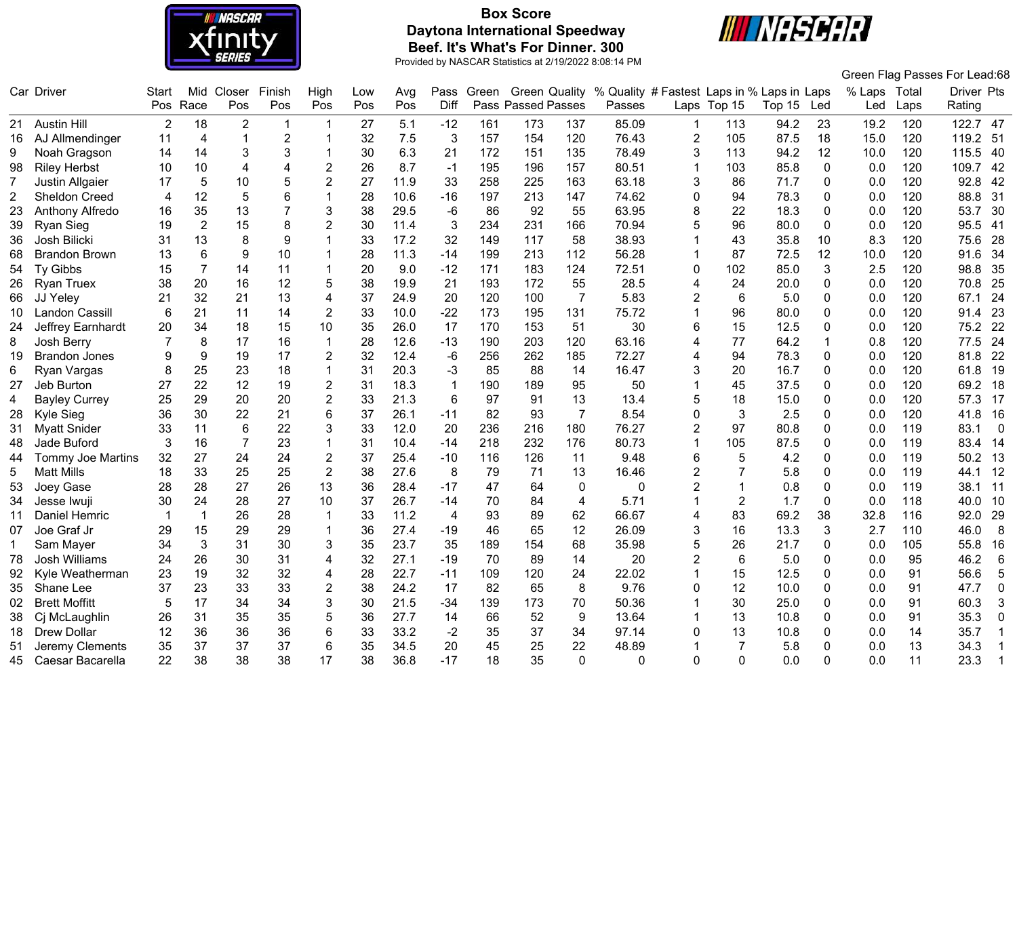

# **Box Score Daytona International Speedway Beef. It's What's For Dinner. 300**



|                |                      |                |                |                |                |                |     |      |                |       |                      |                |                                            |                |                |        |              |              |      | Green Flag Passes For Lead:68 |
|----------------|----------------------|----------------|----------------|----------------|----------------|----------------|-----|------|----------------|-------|----------------------|----------------|--------------------------------------------|----------------|----------------|--------|--------------|--------------|------|-------------------------------|
|                | Car Driver           | Start          | Mid            | Closer         | Finish         | High           | Low | Avg  | Pass           | Green | <b>Green Quality</b> |                | % Quality # Fastest Laps in % Laps in Laps |                |                |        |              | % Laps Total |      | <b>Driver Pts</b>             |
|                |                      | Pos            | Race           | Pos            | Pos            | Pos            | Pos | Pos  | Diff           |       | Pass Passed Passes   |                | Passes                                     |                | Laps Top 15    | Top 15 | Led          | Led          | Laps | Rating                        |
| 21             | <b>Austin Hill</b>   | $\overline{2}$ | 18             | $\overline{2}$ | $\mathbf{1}$   | 1              | 27  | 5.1  | $-12$          | 161   | 173                  | 137            | 85.09                                      | 1              | 113            | 94.2   | 23           | 19.2         | 120  | 122.7 47                      |
| 16             | AJ Allmendinger      | 11             | 4              | $\mathbf{1}$   | $\overline{2}$ |                | 32  | 7.5  | $\mathbf{3}$   | 157   | 154                  | 120            | 76.43                                      | $\overline{c}$ | 105            | 87.5   | 18           | 15.0         | 120  | 119.2<br>51                   |
| 9              | Noah Gragson         | 14             | 14             | $\mathbf{3}$   | 3              |                | 30  | 6.3  | 21             | 172   | 151                  | 135            | 78.49                                      | 3              | 113            | 94.2   | 12           | 10.0         | 120  | 115.5<br>-40                  |
| 98             | <b>Riley Herbst</b>  | 10             | 10             | $\overline{4}$ | 4              | $\overline{2}$ | 26  | 8.7  | $-1$           | 195   | 196                  | 157            | 80.51                                      | $\mathbf{1}$   | 103            | 85.8   | 0            | 0.0          | 120  | 109.7<br>42                   |
| $\overline{7}$ | Justin Allgaier      | 17             | 5              | 10             | 5              | $\overline{2}$ | 27  | 11.9 | 33             | 258   | 225                  | 163            | 63.18                                      | 3              | 86             | 71.7   | $\mathbf 0$  | 0.0          | 120  | 92.8<br>42                    |
| 2              | <b>Sheldon Creed</b> | 4              | 12             | 5              | 6              | $\mathbf 1$    | 28  | 10.6 | $-16$          | 197   | 213                  | 147            | 74.62                                      | 0              | 94             | 78.3   | 0            | 0.0          | 120  | 31<br>88.8                    |
| 23             | Anthony Alfredo      | 16             | 35             | 13             | $\overline{7}$ | 3              | 38  | 29.5 | $-6$           | 86    | 92                   | 55             | 63.95                                      | 8              | 22             | 18.3   | $\mathbf 0$  | 0.0          | 120  | 30<br>53.7                    |
| 39             | Ryan Sieg            | 19             | $\overline{2}$ | 15             | 8              | $\overline{2}$ | 30  | 11.4 | 3              | 234   | 231                  | 166            | 70.94                                      | 5              | 96             | 80.0   | $\mathbf 0$  | 0.0          | 120  | 95.5<br>41                    |
| 36             | Josh Bilicki         | 31             | 13             | 8              | 9              | 1              | 33  | 17.2 | 32             | 149   | 117                  | 58             | 38.93                                      | 1              | 43             | 35.8   | 10           | 8.3          | 120  | 28<br>75.6                    |
| 68             | <b>Brandon Brown</b> | 13             | 6              | 9              | 10             |                | 28  | 11.3 | $-14$          | 199   | 213                  | 112            | 56.28                                      | 1              | 87             | 72.5   | 12           | 10.0         | 120  | 34<br>91.6                    |
| 54             | <b>Ty Gibbs</b>      | 15             | $\overline{7}$ | 14             | 11             |                | 20  | 9.0  | $-12$          | 171   | 183                  | 124            | 72.51                                      | 0              | 102            | 85.0   | 3            | 2.5          | 120  | 35<br>98.8                    |
| 26             | <b>Ryan Truex</b>    | 38             | 20             | 16             | 12             | 5              | 38  | 19.9 | 21             | 193   | 172                  | 55             | 28.5                                       | 4              | 24             | 20.0   | $\mathbf 0$  | 0.0          | 120  | 25<br>70.8                    |
| 66             | JJ Yeley             | 21             | 32             | 21             | 13             | 4              | 37  | 24.9 | 20             | 120   | 100                  | $\overline{7}$ | 5.83                                       | $\overline{2}$ | 6              | 5.0    | $\pmb{0}$    | 0.0          | 120  | 24<br>67.1                    |
| 10             | Landon Cassill       | 6              | 21             | 11             | 14             | $\overline{c}$ | 33  | 10.0 | $-22$          | 173   | 195                  | 131            | 75.72                                      | 1              | 96             | 80.0   | $\mathbf 0$  | 0.0          | 120  | 23<br>91.4                    |
| 24             | Jeffrey Earnhardt    | 20             | 34             | 18             | 15             | 10             | 35  | 26.0 | 17             | 170   | 153                  | 51             | 30                                         | 6              | 15             | 12.5   | $\mathbf{0}$ | 0.0          | 120  | 22<br>75.2                    |
| 8              | Josh Berry           |                | 8              | 17             | 16             | 1              | 28  | 12.6 | $-13$          | 190   | 203                  | 120            | 63.16                                      | 4              | 77             | 64.2   | $\mathbf{1}$ | 0.8          | 120  | 24<br>77.5                    |
| 19             | <b>Brandon Jones</b> | 9              | 9              | 19             | 17             | $\mathbf 2$    | 32  | 12.4 | -6             | 256   | 262                  | 185            | 72.27                                      | 4              | 94             | 78.3   | 0            | 0.0          | 120  | 22<br>81.8                    |
| $6\phantom{1}$ | Ryan Vargas          | 8              | 25             | 23             | 18             |                | 31  | 20.3 | $-3$           | 85    | 88                   | 14             | 16.47                                      | 3              | 20             | 16.7   | $\mathbf 0$  | 0.0          | 120  | 61.8<br>19                    |
| 27             | Jeb Burton           | 27             | 22             | 12             | 19             | $\overline{2}$ | 31  | 18.3 | $\mathbf{1}$   | 190   | 189                  | 95             | 50                                         | 1              | 45             | 37.5   | $\mathbf 0$  | 0.0          | 120  | 18<br>69.2                    |
| 4              | <b>Bayley Currey</b> | 25             | 29             | 20             | 20             | $\overline{2}$ | 33  | 21.3 | 6              | 97    | 91                   | 13             | 13.4                                       | 5              | 18             | 15.0   | 0            | 0.0          | 120  | 17<br>57.3                    |
| 28             | Kyle Sieg            | 36             | 30             | 22             | 21             | 6              | 37  | 26.1 | $-11$          | 82    | 93                   | $\overline{7}$ | 8.54                                       | 0              | 3              | 2.5    | $\Omega$     | 0.0          | 120  | 41.8<br>16                    |
| 31             | <b>Myatt Snider</b>  | 33             | 11             | 6              | 22             | 3              | 33  | 12.0 | 20             | 236   | 216                  | 180            | 76.27                                      | 2              | 97             | 80.8   | $\mathbf{0}$ | 0.0          | 119  | 83.1<br>$\overline{0}$        |
| 48             | Jade Buford          | 3              | 16             | $\overline{7}$ | 23             | 1              | 31  | 10.4 | $-14$          | 218   | 232                  | 176            | 80.73                                      | 1              | 105            | 87.5   | $\mathbf 0$  | 0.0          | 119  | 83.4<br>14                    |
| 44             | Tommy Joe Martins    | 32             | 27             | 24             | 24             | $\mathbf 2$    | 37  | 25.4 | $-10$          | 116   | 126                  | 11             | 9.48                                       | 6              | 5              | 4.2    | $\mathbf 0$  | 0.0          | 119  | 13<br>50.2                    |
| 5              | <b>Matt Mills</b>    | 18             | 33             | 25             | 25             | $\sqrt{2}$     | 38  | 27.6 | 8              | 79    | 71                   | 13             | 16.46                                      | $\overline{c}$ |                | 5.8    | $\mathbf 0$  | 0.0          | 119  | 12<br>44.1                    |
| 53             | Joey Gase            | 28             | 28             | 27             | 26             | 13             | 36  | 28.4 | $-17$          | 47    | 64                   | 0              | 0                                          | 2              |                | 0.8    | 0            | 0.0          | 119  | 38.1<br>11                    |
| 34             | Jesse Iwuji          | 30             | 24             | 28             | 27             | 10             | 37  | 26.7 | $-14$          | 70    | 84                   | 4              | 5.71                                       | 1              | $\overline{2}$ | 1.7    | 0            | 0.0          | 118  | 40.0<br>10                    |
| 11             | Daniel Hemric        | -1             | $\overline{1}$ | 26             | 28             | $\mathbf{1}$   | 33  | 11.2 | $\overline{4}$ | 93    | 89                   | 62             | 66.67                                      | 4              | 83             | 69.2   | 38           | 32.8         | 116  | 29<br>92.0                    |
| 07             | Joe Graf Jr          | 29             | 15             | 29             | 29             |                | 36  | 27.4 | $-19$          | 46    | 65                   | 12             | 26.09                                      | 3              | 16             | 13.3   | 3            | 2.7          | 110  | 8<br>46.0                     |
| $\mathbf{1}$   | Sam Mayer            | 34             | 3              | 31             | 30             | 3              | 35  | 23.7 | 35             | 189   | 154                  | 68             | 35.98                                      | 5              | 26             | 21.7   | 0            | 0.0          | 105  | 55.8<br>16                    |
| 78             | Josh Williams        | 24             | 26             | 30             | 31             | 4              | 32  | 27.1 | $-19$          | 70    | 89                   | 14             | 20                                         | $\overline{2}$ | 6              | 5.0    | 0            | 0.0          | 95   | 46.2<br>6                     |
| 92             | Kyle Weatherman      | 23             | 19             | 32             | 32             | 4              | 28  | 22.7 | $-11$          | 109   | 120                  | 24             | 22.02                                      | 1              | 15             | 12.5   | $\mathbf 0$  | 0.0          | 91   | 5<br>56.6                     |
| 35             | Shane Lee            | 37             | 23             | 33             | 33             | $\overline{c}$ | 38  | 24.2 | 17             | 82    | 65                   | 8              | 9.76                                       | 0              | 12             | 10.0   | $\mathbf 0$  | 0.0          | 91   | 47.7<br>$\mathbf 0$           |
| 02             | <b>Brett Moffitt</b> | 5              | 17             | 34             | 34             | 3              | 30  | 21.5 | $-34$          | 139   | 173                  | 70             | 50.36                                      | 1              | 30             | 25.0   | $\mathbf 0$  | 0.0          | 91   | 60.3<br>3                     |
| 38             | Cj McLaughlin        | 26             | 31             | 35             | 35             | 5              | 36  | 27.7 | 14             | 66    | 52                   | 9              | 13.64                                      | 1              | 13             | 10.8   | 0            | 0.0          | 91   | 35.3<br>$\mathbf 0$           |
| 18             | <b>Drew Dollar</b>   | 12             | 36             | 36             | 36             | 6              | 33  | 33.2 | $-2$           | 35    | 37                   | 34             | 97.14                                      | 0              | 13             | 10.8   | $\mathbf{0}$ | 0.0          | 14   | 35.7<br>1                     |
| 51             | Jeremy Clements      | 35             | 37             | 37             | 37             | 6              | 35  | 34.5 | 20             | 45    | 25                   | 22             | 48.89                                      |                | 7              | 5.8    | $\Omega$     | 0.0          | 13   | 34.3<br>1                     |
|                | 45 Caesar Bacarella  | 22             | 38             | 38             | 38             | 17             | 38  | 36.8 | $-17$          | 18    | 35                   | $\Omega$       | $\Omega$                                   | 0              | $\Omega$       | 0.0    | $\Omega$     | 0.0          | 11   | 23.3<br>$\mathbf{1}$          |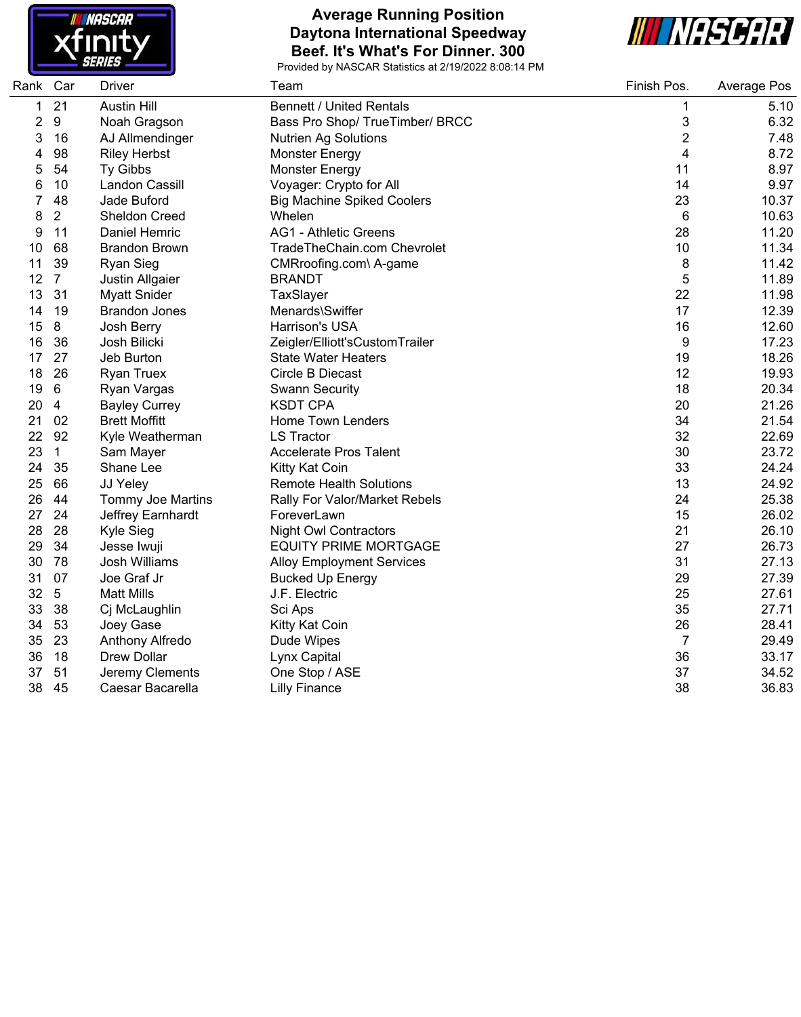

#### **Average Running Position Daytona International Speedway Beef. It's What's For Dinner. 300**



| Rank            | Car             | <b>Driver</b>            | Team                              | Finish Pos.    | Average Pos |
|-----------------|-----------------|--------------------------|-----------------------------------|----------------|-------------|
| $\mathbf{1}$    | 21              | <b>Austin Hill</b>       | <b>Bennett / United Rentals</b>   | 1              | 5.10        |
| 2               | 9               | Noah Gragson             | Bass Pro Shop/ TrueTimber/ BRCC   | 3              | 6.32        |
| 3               | 16              | AJ Allmendinger          | <b>Nutrien Ag Solutions</b>       | $\overline{2}$ | 7.48        |
| 4               | 98              | <b>Riley Herbst</b>      | <b>Monster Energy</b>             | 4              | 8.72        |
| 5               | 54              | Ty Gibbs                 | <b>Monster Energy</b>             | 11             | 8.97        |
| 6               | 10              | Landon Cassill           | Voyager: Crypto for All           | 14             | 9.97        |
| 7               | 48              | Jade Buford              | <b>Big Machine Spiked Coolers</b> | 23             | 10.37       |
| 8               | $\overline{2}$  | <b>Sheldon Creed</b>     | Whelen                            | $\,6\,$        | 10.63       |
| 9               | 11              | Daniel Hemric            | <b>AG1 - Athletic Greens</b>      | 28             | 11.20       |
| 10              | 68              | <b>Brandon Brown</b>     | TradeTheChain.com Chevrolet       | $10$           | 11.34       |
| 11              | 39              | <b>Ryan Sieg</b>         | CMRroofing.com\ A-game            | 8              | 11.42       |
| 12 <sup>2</sup> | $\overline{7}$  | Justin Allgaier          | <b>BRANDT</b>                     | 5              | 11.89       |
| 13              | 31              | <b>Myatt Snider</b>      | TaxSlayer                         | 22             | 11.98       |
| 14              | 19              | <b>Brandon Jones</b>     | Menards\Swiffer                   | 17             | 12.39       |
| 15              | 8               | Josh Berry               | Harrison's USA                    | 16             | 12.60       |
| 16              | 36              | Josh Bilicki             | Zeigler/Elliott'sCustomTrailer    | 9              | 17.23       |
| 17              | 27              | Jeb Burton               | <b>State Water Heaters</b>        | 19             | 18.26       |
| 18              | 26              | <b>Ryan Truex</b>        | Circle B Diecast                  | 12             | 19.93       |
| 19              | $6\phantom{1}$  | Ryan Vargas              | <b>Swann Security</b>             | 18             | 20.34       |
| 20              | $\overline{4}$  | <b>Bayley Currey</b>     | <b>KSDT CPA</b>                   | 20             | 21.26       |
| 21              | 02              | <b>Brett Moffitt</b>     | Home Town Lenders                 | 34             | 21.54       |
|                 | 22 92           | Kyle Weatherman          | <b>LS Tractor</b>                 | 32             | 22.69       |
| 23              | $\mathbf{1}$    | Sam Mayer                | <b>Accelerate Pros Talent</b>     | 30             | 23.72       |
| 24              | 35              | Shane Lee                | Kitty Kat Coin                    | 33             | 24.24       |
| 25              | 66              | JJ Yeley                 | <b>Remote Health Solutions</b>    | 13             | 24.92       |
| 26              | 44              | <b>Tommy Joe Martins</b> | Rally For Valor/Market Rebels     | 24             | 25.38       |
| 27              | 24              | Jeffrey Earnhardt        | ForeverLawn                       | 15             | 26.02       |
| 28              | 28              | Kyle Sieg                | <b>Night Owl Contractors</b>      | 21             | 26.10       |
| 29              | 34              | Jesse Iwuji              | <b>EQUITY PRIME MORTGAGE</b>      | 27             | 26.73       |
| 30              | 78              | Josh Williams            | <b>Alloy Employment Services</b>  | 31             | 27.13       |
| 31              | 07              | Joe Graf Jr              | <b>Bucked Up Energy</b>           | 29             | 27.39       |
| 32              | $5\phantom{.0}$ | <b>Matt Mills</b>        | J.F. Electric                     | 25             | 27.61       |
| 33              | 38              | Cj McLaughlin            | Sci Aps                           | 35             | 27.71       |
| 34              | 53              | Joey Gase                | Kitty Kat Coin                    | 26             | 28.41       |
| 35              | 23              | Anthony Alfredo          | Dude Wipes                        | $\overline{7}$ | 29.49       |
| 36              | 18              | Drew Dollar              | Lynx Capital                      | 36             | 33.17       |
| 37              | 51              | Jeremy Clements          | One Stop / ASE                    | 37             | 34.52       |
| 38              | 45              | Caesar Bacarella         | <b>Lilly Finance</b>              | 38             | 36.83       |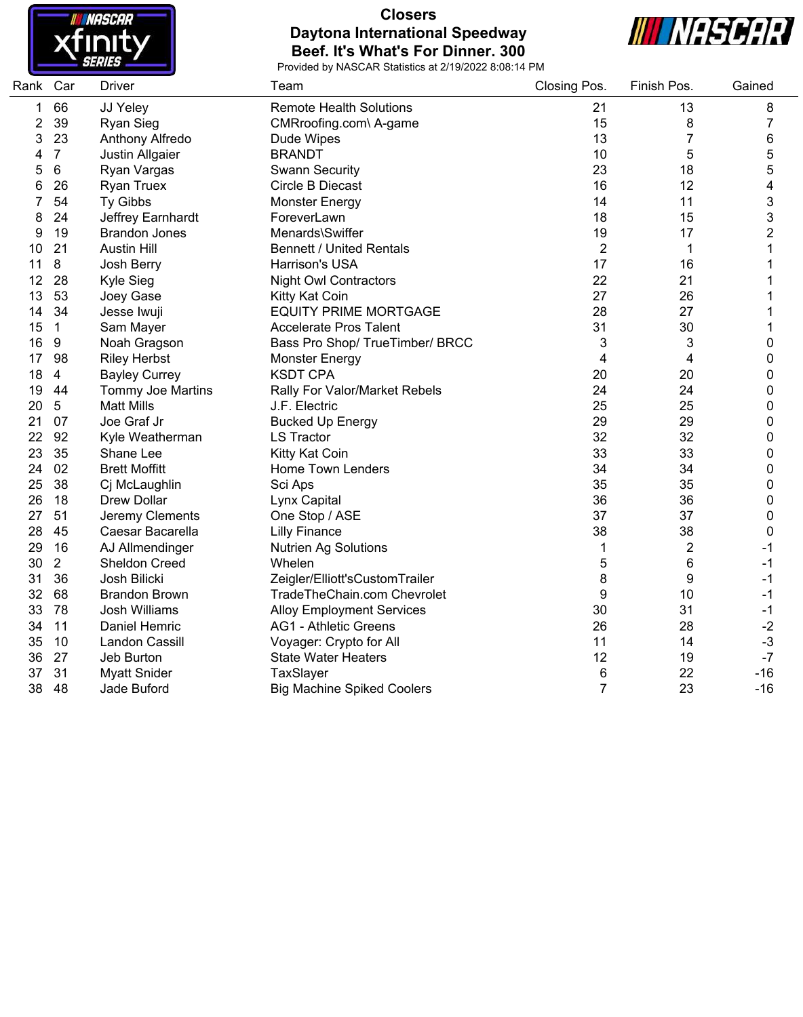

# **Closers Daytona International Speedway Beef. It's What's For Dinner. 300**



| Rank Car |    | Driver                 | Team                              | Closing Pos.   | Finish Pos.             | Gained                    |
|----------|----|------------------------|-----------------------------------|----------------|-------------------------|---------------------------|
| 1        | 66 | JJ Yeley               | <b>Remote Health Solutions</b>    | 21             | 13                      | 8                         |
| 2        | 39 | Ryan Sieg              | CMRroofing.com\ A-game            | 15             | 8                       | 7                         |
| 3        | 23 | Anthony Alfredo        | Dude Wipes                        | 13             | $\overline{7}$          | 6                         |
| 4        | 7  | <b>Justin Allgaier</b> | <b>BRANDT</b>                     | 10             | 5                       | 5                         |
| 5        | 6  | Ryan Vargas            | <b>Swann Security</b>             | 23             | 18                      | 5                         |
| 6        | 26 | <b>Ryan Truex</b>      | Circle B Diecast                  | 16             | 12                      | $\overline{\mathbf{4}}$   |
| 7        | 54 | Ty Gibbs               | Monster Energy                    | 14             | 11                      | $\ensuremath{\mathsf{3}}$ |
| 8        | 24 | Jeffrey Earnhardt      | ForeverLawn                       | 18             | 15                      | $\mathbf 3$               |
| 9        | 19 | <b>Brandon Jones</b>   | Menards\Swiffer                   | 19             | 17                      | $\overline{c}$            |
| 10       | 21 | <b>Austin Hill</b>     | <b>Bennett / United Rentals</b>   | $\overline{2}$ | $\mathbf{1}$            | $\mathbf{1}$              |
| 11       | 8  | Josh Berry             | Harrison's USA                    | 17             | 16                      | 1                         |
| 12       | 28 | Kyle Sieg              | <b>Night Owl Contractors</b>      | 22             | 21                      | 1                         |
| 13       | 53 | Joey Gase              | Kitty Kat Coin                    | 27             | 26                      | 1                         |
| 14       | 34 | Jesse Iwuji            | <b>EQUITY PRIME MORTGAGE</b>      | 28             | 27                      |                           |
| 15       | 1  | Sam Mayer              | <b>Accelerate Pros Talent</b>     | 31             | 30                      | 1                         |
| 16       | 9  | Noah Gragson           | Bass Pro Shop/ TrueTimber/ BRCC   | 3              | 3                       | 0                         |
| 17       | 98 | <b>Riley Herbst</b>    | <b>Monster Energy</b>             | 4              | $\overline{\mathbf{4}}$ | 0                         |
| 18       | 4  | <b>Bayley Currey</b>   | <b>KSDT CPA</b>                   | 20             | 20                      | 0                         |
| 19       | 44 | Tommy Joe Martins      | Rally For Valor/Market Rebels     | 24             | 24                      | 0                         |
| 20       | 5  | <b>Matt Mills</b>      | J.F. Electric                     | 25             | 25                      | 0                         |
| 21       | 07 | Joe Graf Jr            | <b>Bucked Up Energy</b>           | 29             | 29                      | 0                         |
| 22       | 92 | Kyle Weatherman        | <b>LS Tractor</b>                 | 32             | 32                      | 0                         |
| 23       | 35 | Shane Lee              | Kitty Kat Coin                    | 33             | 33                      | 0                         |
| 24       | 02 | <b>Brett Moffitt</b>   | Home Town Lenders                 | 34             | 34                      | 0                         |
| 25       | 38 | Cj McLaughlin          | Sci Aps                           | 35             | 35                      | 0                         |
| 26       | 18 | <b>Drew Dollar</b>     | Lynx Capital                      | 36             | 36                      | 0                         |
| 27       | 51 | Jeremy Clements        | One Stop / ASE                    | 37             | 37                      | 0                         |
| 28       | 45 | Caesar Bacarella       | <b>Lilly Finance</b>              | 38             | 38                      | 0                         |
| 29       | 16 | AJ Allmendinger        | <b>Nutrien Ag Solutions</b>       | 1              | $\overline{c}$          | $-1$                      |
| 30       | 2  | <b>Sheldon Creed</b>   | Whelen                            | 5              | 6                       | -1                        |
| 31       | 36 | Josh Bilicki           | Zeigler/Elliott'sCustomTrailer    | 8              | 9                       | $-1$                      |
| 32       | 68 | <b>Brandon Brown</b>   | TradeTheChain.com Chevrolet       | 9              | 10                      | -1                        |
| 33       | 78 | <b>Josh Williams</b>   | <b>Alloy Employment Services</b>  | 30             | 31                      | -1                        |
| 34       | 11 | Daniel Hemric          | <b>AG1 - Athletic Greens</b>      | 26             | 28                      | $-2$                      |
| 35       | 10 | Landon Cassill         | Voyager: Crypto for All           | 11             | 14                      | $-3$                      |
| 36       | 27 | Jeb Burton             | <b>State Water Heaters</b>        | 12             | 19                      | $-7$                      |
| 37       | 31 | <b>Myatt Snider</b>    | TaxSlayer                         | 6              | 22                      | $-16$                     |
| 38       | 48 | Jade Buford            | <b>Big Machine Spiked Coolers</b> | 7              | 23                      | $-16$                     |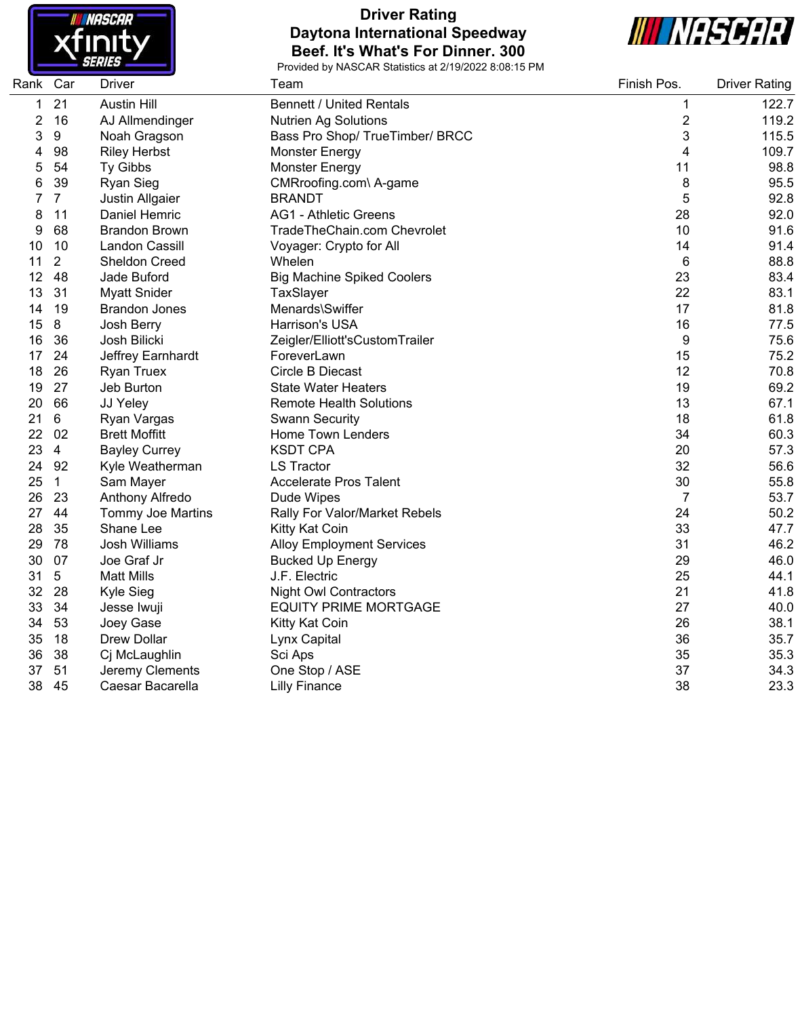

# **Driver Rating Daytona International Speedway Beef. It's What's For Dinner. 300**



| Rank | Car            | Driver               | Team                              | Finish Pos.             | <b>Driver Rating</b> |
|------|----------------|----------------------|-----------------------------------|-------------------------|----------------------|
| 1    | 21             | <b>Austin Hill</b>   | <b>Bennett / United Rentals</b>   | 1                       | 122.7                |
| 2    | 16             | AJ Allmendinger      | <b>Nutrien Ag Solutions</b>       | $\overline{\mathbf{c}}$ | 119.2                |
| 3    | 9              | Noah Gragson         | Bass Pro Shop/ TrueTimber/ BRCC   | 3                       | 115.5                |
| 4    | 98             | <b>Riley Herbst</b>  | Monster Energy                    | 4                       | 109.7                |
| 5    | 54             | Ty Gibbs             | Monster Energy                    | 11                      | 98.8                 |
| 6    | 39             | Ryan Sieg            | CMRroofing.com\ A-game            | 8                       | 95.5                 |
| 7    | $\overline{7}$ | Justin Allgaier      | <b>BRANDT</b>                     | 5                       | 92.8                 |
| 8    | 11             | Daniel Hemric        | <b>AG1 - Athletic Greens</b>      | 28                      | 92.0                 |
| 9    | 68             | <b>Brandon Brown</b> | TradeTheChain.com Chevrolet       | 10                      | 91.6                 |
| 10   | 10             | Landon Cassill       | Voyager: Crypto for All           | 14                      | 91.4                 |
| 11   | $\overline{2}$ | Sheldon Creed        | Whelen                            | 6                       | 88.8                 |
| 12   | 48             | Jade Buford          | <b>Big Machine Spiked Coolers</b> | 23                      | 83.4                 |
| 13   | 31             | <b>Myatt Snider</b>  | TaxSlayer                         | 22                      | 83.1                 |
| 14   | 19             | <b>Brandon Jones</b> | Menards\Swiffer                   | 17                      | 81.8                 |
| 15   | $\bf 8$        | Josh Berry           | Harrison's USA                    | 16                      | 77.5                 |
| 16   | 36             | Josh Bilicki         | Zeigler/Elliott'sCustomTrailer    | 9                       | 75.6                 |
| 17   | 24             | Jeffrey Earnhardt    | ForeverLawn                       | 15                      | 75.2                 |
| 18   | 26             | <b>Ryan Truex</b>    | <b>Circle B Diecast</b>           | 12                      | 70.8                 |
| 19   | 27             | Jeb Burton           | <b>State Water Heaters</b>        | 19                      | 69.2                 |
| 20   | 66             | JJ Yeley             | <b>Remote Health Solutions</b>    | 13                      | 67.1                 |
| 21   | 6              | Ryan Vargas          | <b>Swann Security</b>             | 18                      | 61.8                 |
| 22   | 02             | <b>Brett Moffitt</b> | Home Town Lenders                 | 34                      | 60.3                 |
| 23   | $\overline{4}$ | <b>Bayley Currey</b> | <b>KSDT CPA</b>                   | 20                      | 57.3                 |
| 24   | 92             | Kyle Weatherman      | <b>LS Tractor</b>                 | 32                      | 56.6                 |
| 25   | $\mathbf 1$    | Sam Mayer            | <b>Accelerate Pros Talent</b>     | 30                      | 55.8                 |
| 26   | 23             | Anthony Alfredo      | Dude Wipes                        | $\overline{7}$          | 53.7                 |
| 27   | 44             | Tommy Joe Martins    | Rally For Valor/Market Rebels     | 24                      | 50.2                 |
| 28   | 35             | Shane Lee            | Kitty Kat Coin                    | 33                      | 47.7                 |
| 29   | 78             | Josh Williams        | <b>Alloy Employment Services</b>  | 31                      | 46.2                 |
| 30   | 07             | Joe Graf Jr          | <b>Bucked Up Energy</b>           | 29                      | 46.0                 |
| 31   | 5              | <b>Matt Mills</b>    | J.F. Electric                     | 25                      | 44.1                 |
| 32   | 28             | Kyle Sieg            | <b>Night Owl Contractors</b>      | 21                      | 41.8                 |
| 33   | 34             | Jesse Iwuji          | <b>EQUITY PRIME MORTGAGE</b>      | 27                      | 40.0                 |
| 34   | 53             | Joey Gase            | Kitty Kat Coin                    | 26                      | 38.1                 |
| 35   | 18             | <b>Drew Dollar</b>   | Lynx Capital                      | 36                      | 35.7                 |
| 36   | 38             | Cj McLaughlin        | Sci Aps                           | 35                      | 35.3                 |
| 37   | 51             | Jeremy Clements      | One Stop / ASE                    | 37                      | 34.3                 |
| 38   | 45             | Caesar Bacarella     | <b>Lilly Finance</b>              | 38                      | 23.3                 |
|      |                |                      |                                   |                         |                      |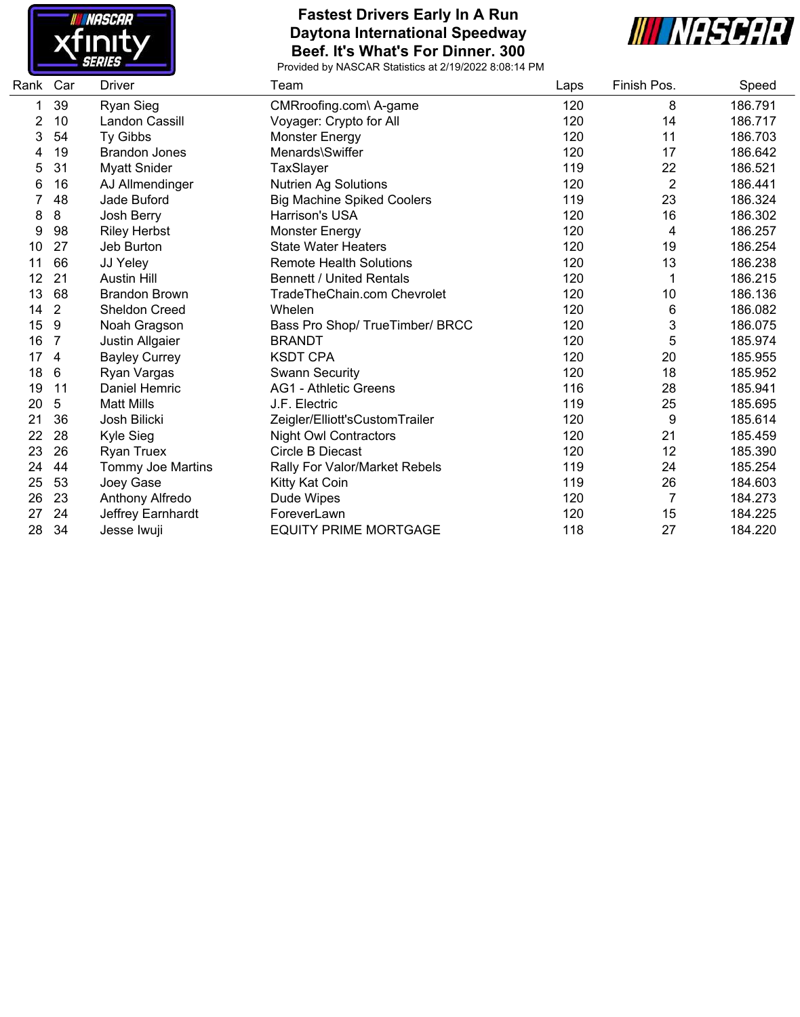

#### **Fastest Drivers Early In A Run Daytona International Speedway Beef. It's What's For Dinner. 300**



| Rank | Car            | Driver               | Team                              | Laps | Finish Pos.    | Speed   |
|------|----------------|----------------------|-----------------------------------|------|----------------|---------|
| 1    | 39             | Ryan Sieg            | CMRroofing.com\ A-game            | 120  | 8              | 186.791 |
| 2    | 10             | Landon Cassill       | Voyager: Crypto for All           | 120  | 14             | 186.717 |
| 3    | 54             | Ty Gibbs             | <b>Monster Energy</b>             | 120  | 11             | 186.703 |
| 4    | 19             | <b>Brandon Jones</b> | Menards\Swiffer                   | 120  | 17             | 186.642 |
| 5    | 31             | <b>Myatt Snider</b>  | TaxSlayer                         | 119  | 22             | 186.521 |
| 6    | 16             | AJ Allmendinger      | Nutrien Ag Solutions              | 120  | $\overline{2}$ | 186.441 |
|      | 48             | Jade Buford          | <b>Big Machine Spiked Coolers</b> | 119  | 23             | 186.324 |
| 8    | 8              | Josh Berry           | Harrison's USA                    | 120  | 16             | 186.302 |
| 9    | 98             | <b>Riley Herbst</b>  | <b>Monster Energy</b>             | 120  | 4              | 186.257 |
| 10   | 27             | Jeb Burton           | <b>State Water Heaters</b>        | 120  | 19             | 186.254 |
| 11   | 66             | JJ Yeley             | <b>Remote Health Solutions</b>    | 120  | 13             | 186.238 |
| 12   | 21             | <b>Austin Hill</b>   | <b>Bennett / United Rentals</b>   | 120  |                | 186.215 |
| 13   | 68             | <b>Brandon Brown</b> | TradeTheChain.com Chevrolet       | 120  | 10             | 186.136 |
| 14   | $\overline{2}$ | Sheldon Creed        | Whelen                            | 120  | 6              | 186.082 |
| 15   | 9              | Noah Gragson         | Bass Pro Shop/ TrueTimber/ BRCC   | 120  | 3              | 186.075 |
| 16   | 7              | Justin Allgaier      | <b>BRANDT</b>                     | 120  | 5              | 185.974 |
| 17   | 4              | <b>Bayley Currey</b> | <b>KSDT CPA</b>                   | 120  | 20             | 185.955 |
| 18   | 6              | Ryan Vargas          | <b>Swann Security</b>             | 120  | 18             | 185.952 |
| 19   | 11             | Daniel Hemric        | <b>AG1 - Athletic Greens</b>      | 116  | 28             | 185.941 |
| 20   | 5              | <b>Matt Mills</b>    | J.F. Electric                     | 119  | 25             | 185.695 |
| 21   | 36             | Josh Bilicki         | Zeigler/Elliott'sCustomTrailer    | 120  | 9              | 185.614 |
| 22   | 28             | Kyle Sieg            | <b>Night Owl Contractors</b>      | 120  | 21             | 185.459 |
| 23   | 26             | <b>Ryan Truex</b>    | Circle B Diecast                  | 120  | 12             | 185.390 |
| 24   | 44             | Tommy Joe Martins    | Rally For Valor/Market Rebels     | 119  | 24             | 185.254 |
| 25   | 53             | Joey Gase            | Kitty Kat Coin                    | 119  | 26             | 184.603 |
| 26   | 23             | Anthony Alfredo      | Dude Wipes                        | 120  | $\overline{7}$ | 184.273 |
| 27   | 24             | Jeffrey Earnhardt    | ForeverLawn                       | 120  | 15             | 184.225 |
| 28   | 34             | Jesse Iwuji          | <b>EQUITY PRIME MORTGAGE</b>      | 118  | 27             | 184.220 |
|      |                |                      |                                   |      |                |         |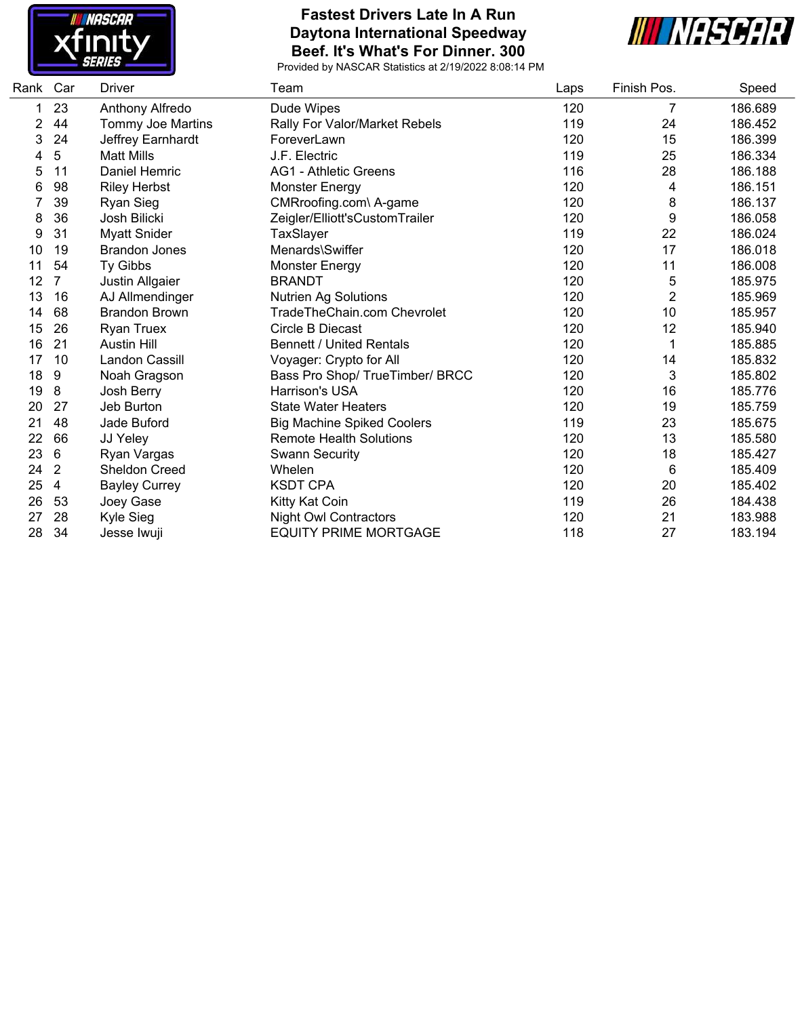

### **Fastest Drivers Late In A Run Daytona International Speedway Beef. It's What's For Dinner. 300**



| Rank | Car            | Driver               | Team                              | Laps | Finish Pos.    | Speed   |
|------|----------------|----------------------|-----------------------------------|------|----------------|---------|
|      | 23             | Anthony Alfredo      | Dude Wipes                        | 120  | 7              | 186.689 |
| 2    | 44             | Tommy Joe Martins    | Rally For Valor/Market Rebels     | 119  | 24             | 186.452 |
| 3    | 24             | Jeffrey Earnhardt    | ForeverLawn                       | 120  | 15             | 186.399 |
| 4    | 5              | <b>Matt Mills</b>    | J.F. Electric                     | 119  | 25             | 186.334 |
| 5    | 11             | Daniel Hemric        | AG1 - Athletic Greens             | 116  | 28             | 186.188 |
| 6    | 98             | <b>Riley Herbst</b>  | Monster Energy                    | 120  | 4              | 186.151 |
| 7    | 39             | Ryan Sieg            | CMRroofing.com\ A-game            | 120  | 8              | 186.137 |
| 8    | 36             | Josh Bilicki         | Zeigler/Elliott'sCustomTrailer    | 120  | 9              | 186.058 |
| 9    | 31             | <b>Myatt Snider</b>  | TaxSlayer                         | 119  | 22             | 186.024 |
| 10   | 19             | <b>Brandon Jones</b> | Menards\Swiffer                   | 120  | 17             | 186.018 |
| 11   | 54             | Ty Gibbs             | <b>Monster Energy</b>             | 120  | 11             | 186.008 |
| 12   | $\overline{7}$ | Justin Allgaier      | <b>BRANDT</b>                     | 120  | 5              | 185.975 |
| 13   | 16             | AJ Allmendinger      | <b>Nutrien Ag Solutions</b>       | 120  | $\overline{2}$ | 185.969 |
| 14   | 68             | <b>Brandon Brown</b> | TradeTheChain.com Chevrolet       | 120  | 10             | 185.957 |
| 15   | 26             | <b>Ryan Truex</b>    | Circle B Diecast                  | 120  | 12             | 185.940 |
| 16   | 21             | <b>Austin Hill</b>   | <b>Bennett / United Rentals</b>   | 120  | 1              | 185.885 |
| 17   | 10             | Landon Cassill       | Voyager: Crypto for All           | 120  | 14             | 185.832 |
| 18   | 9              | Noah Gragson         | Bass Pro Shop/ TrueTimber/ BRCC   | 120  | 3              | 185.802 |
| 19   | 8              | <b>Josh Berry</b>    | Harrison's USA                    | 120  | 16             | 185.776 |
| 20   | 27             | Jeb Burton           | <b>State Water Heaters</b>        | 120  | 19             | 185.759 |
| 21   | 48             | Jade Buford          | <b>Big Machine Spiked Coolers</b> | 119  | 23             | 185.675 |
| 22   | 66             | JJ Yeley             | <b>Remote Health Solutions</b>    | 120  | 13             | 185.580 |
| 23   | 6              | Ryan Vargas          | <b>Swann Security</b>             | 120  | 18             | 185.427 |
| 24   | $\overline{2}$ | <b>Sheldon Creed</b> | Whelen                            | 120  | 6              | 185.409 |
| 25   | 4              | <b>Bayley Currey</b> | <b>KSDT CPA</b>                   | 120  | 20             | 185.402 |
| 26   | 53             | Joey Gase            | Kitty Kat Coin                    | 119  | 26             | 184.438 |
| 27   | 28             | Kyle Sieg            | <b>Night Owl Contractors</b>      | 120  | 21             | 183.988 |
| 28   | 34             | Jesse Iwuji          | <b>EQUITY PRIME MORTGAGE</b>      | 118  | 27             | 183.194 |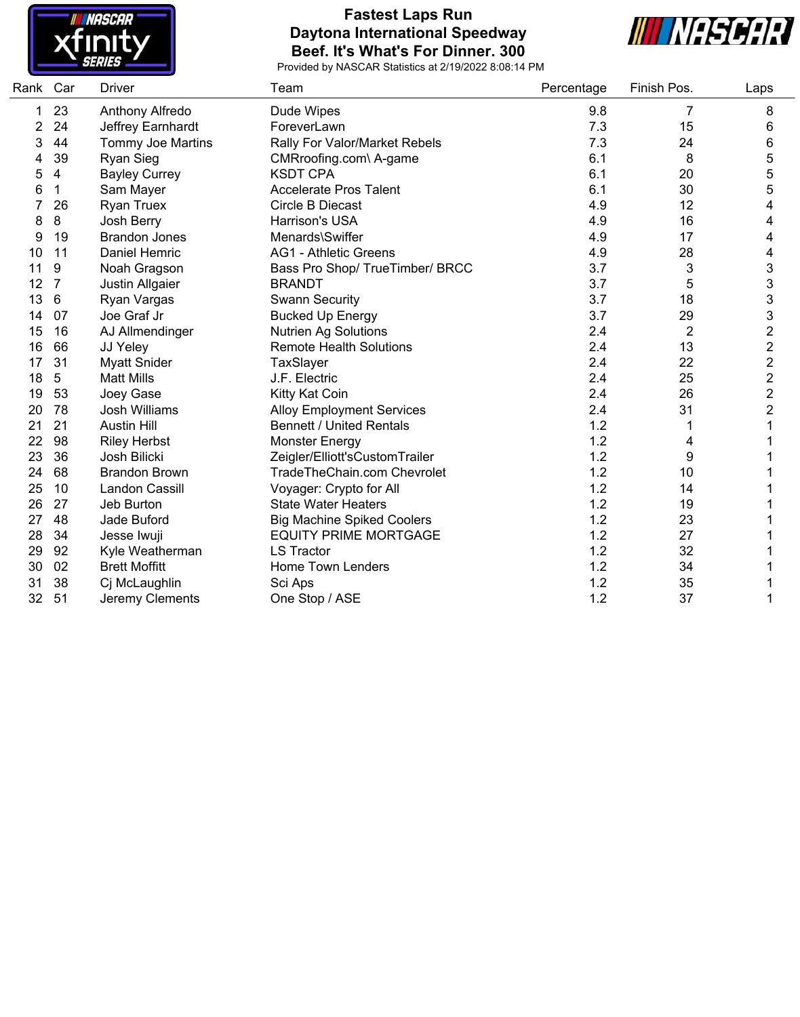

### **Fastest Laps Run Daytona International Speedway Beef. It's What's For Dinner. 300**



| Rank Car |    | <b>Driver</b>        | Team                              | Percentage | Finish Pos.    | Laps                      |
|----------|----|----------------------|-----------------------------------|------------|----------------|---------------------------|
| 1        | 23 | Anthony Alfredo      | Dude Wipes                        | 9.8        | 7              | 8                         |
| 2        | 24 | Jeffrey Earnhardt    | ForeverLawn                       | 7.3        | 15             | 6                         |
| 3        | 44 | Tommy Joe Martins    | Rally For Valor/Market Rebels     | 7.3        | 24             | 6                         |
|          | 39 | Ryan Sieg            | CMRroofing.com\ A-game            | 6.1        | 8              | 5                         |
| 5        | 4  | <b>Bayley Currey</b> | <b>KSDT CPA</b>                   | 6.1        | 20             | 5                         |
| 6        | 1  | Sam Mayer            | <b>Accelerate Pros Talent</b>     | 6.1        | 30             | 5                         |
|          | 26 | <b>Ryan Truex</b>    | Circle B Diecast                  | 4.9        | 12             | 4                         |
| 8        | 8  | Josh Berry           | Harrison's USA                    | 4.9        | 16             | 4                         |
| 9        | 19 | <b>Brandon Jones</b> | Menards\Swiffer                   | 4.9        | 17             | 4                         |
| 10       | 11 | Daniel Hemric        | <b>AG1 - Athletic Greens</b>      | 4.9        | 28             | 4                         |
| 11       | 9  | Noah Gragson         | Bass Pro Shop/ TrueTimber/ BRCC   | 3.7        | 3              | $\ensuremath{\mathsf{3}}$ |
| 12       | 7  | Justin Allgaier      | <b>BRANDT</b>                     | 3.7        | 5              | 3                         |
| 13       | 6  | Ryan Vargas          | <b>Swann Security</b>             | 3.7        | 18             | 3                         |
| 14       | 07 | Joe Graf Jr          | <b>Bucked Up Energy</b>           | 3.7        | 29             | 3                         |
| 15       | 16 | AJ Allmendinger      | <b>Nutrien Ag Solutions</b>       | 2.4        | $\overline{2}$ | $\overline{2}$            |
| 16       | 66 | JJ Yeley             | <b>Remote Health Solutions</b>    | 2.4        | 13             | $\overline{2}$            |
| 17       | 31 | <b>Myatt Snider</b>  | TaxSlayer                         | 2.4        | 22             | $\overline{2}$            |
| 18       | 5  | <b>Matt Mills</b>    | J.F. Electric                     | 2.4        | 25             | $\overline{\mathbf{c}}$   |
| 19       | 53 | Joey Gase            | Kitty Kat Coin                    | 2.4        | 26             | $\overline{c}$            |
| 20       | 78 | Josh Williams        | <b>Alloy Employment Services</b>  | 2.4        | 31             | $\overline{2}$            |
| 21       | 21 | <b>Austin Hill</b>   | <b>Bennett / United Rentals</b>   | 1.2        |                |                           |
| 22       | 98 | <b>Riley Herbst</b>  | <b>Monster Energy</b>             | 1.2        | 4              |                           |
| 23       | 36 | Josh Bilicki         | Zeigler/Elliott'sCustomTrailer    | 1.2        | 9              |                           |
| 24       | 68 | <b>Brandon Brown</b> | TradeTheChain.com Chevrolet       | 1.2        | 10             |                           |
| 25       | 10 | Landon Cassill       | Voyager: Crypto for All           | 1.2        | 14             |                           |
| 26       | 27 | Jeb Burton           | <b>State Water Heaters</b>        | 1.2        | 19             |                           |
| 27       | 48 | Jade Buford          | <b>Big Machine Spiked Coolers</b> | 1.2        | 23             |                           |
| 28       | 34 | Jesse Iwuji          | <b>EQUITY PRIME MORTGAGE</b>      | 1.2        | 27             |                           |
| 29       | 92 | Kyle Weatherman      | <b>LS Tractor</b>                 | 1.2        | 32             |                           |
| 30       | 02 | <b>Brett Moffitt</b> | <b>Home Town Lenders</b>          | 1.2        | 34             |                           |
| 31       | 38 | Cj McLaughlin        | Sci Aps                           | 1.2        | 35             |                           |
| 32       | 51 | Jeremy Clements      | One Stop / ASE                    | 1.2        | 37             | 1                         |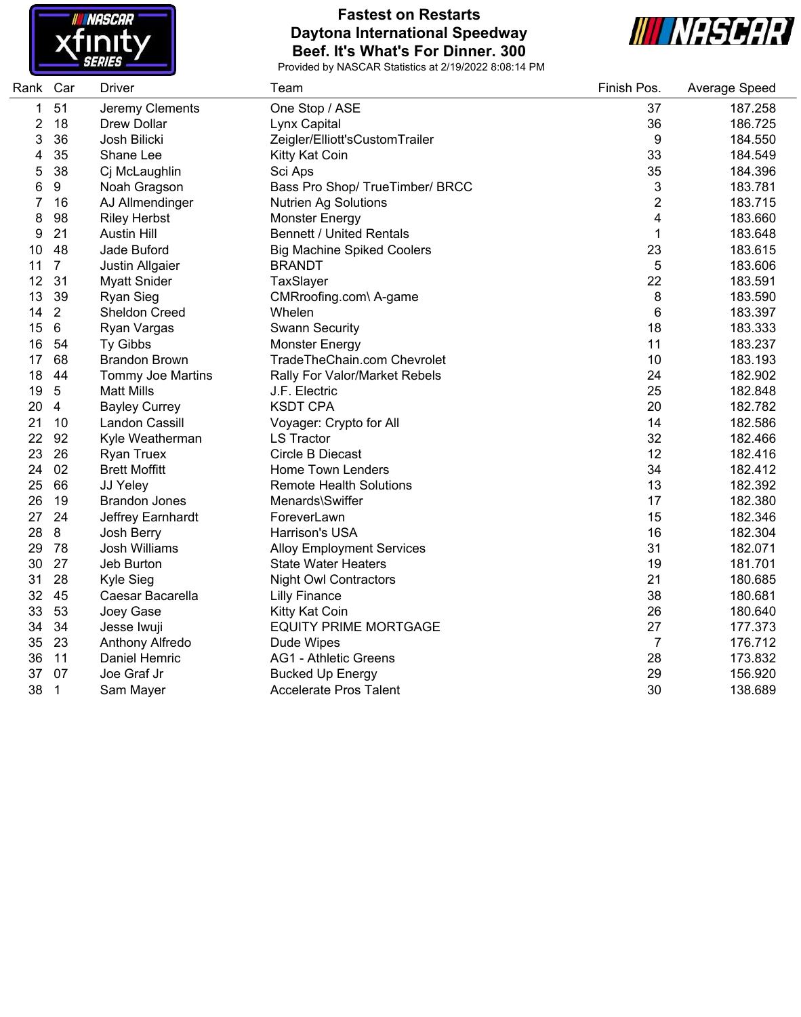

# **Fastest on Restarts Daytona International Speedway Beef. It's What's For Dinner. 300**



| Rank | Car             | <b>Driver</b>            | Team                              | Finish Pos.    | Average Speed |
|------|-----------------|--------------------------|-----------------------------------|----------------|---------------|
| 1    | 51              | Jeremy Clements          | One Stop / ASE                    | 37             | 187.258       |
| 2    | 18              | Drew Dollar              | Lynx Capital                      | 36             | 186.725       |
| 3    | 36              | Josh Bilicki             | Zeigler/Elliott'sCustomTrailer    | 9              | 184.550       |
| 4    | 35              | Shane Lee                | Kitty Kat Coin                    | 33             | 184.549       |
| 5    | 38              | Cj McLaughlin            | Sci Aps                           | 35             | 184.396       |
| 6    | 9               | Noah Gragson             | Bass Pro Shop/ TrueTimber/ BRCC   | $\mathfrak{Z}$ | 183.781       |
| 7    | 16              | AJ Allmendinger          | <b>Nutrien Ag Solutions</b>       | $\overline{c}$ | 183.715       |
| 8    | 98              | <b>Riley Herbst</b>      | <b>Monster Energy</b>             | 4              | 183.660       |
| 9    | 21              | <b>Austin Hill</b>       | <b>Bennett / United Rentals</b>   | $\mathbf{1}$   | 183.648       |
| 10   | 48              | Jade Buford              | <b>Big Machine Spiked Coolers</b> | 23             | 183.615       |
| 11   | $\overline{7}$  | Justin Allgaier          | <b>BRANDT</b>                     | 5              | 183.606       |
| 12   | 31              | <b>Myatt Snider</b>      | TaxSlayer                         | 22             | 183.591       |
| 13   | 39              | Ryan Sieg                | CMRroofing.com\ A-game            | 8              | 183.590       |
| 14   | $\overline{2}$  | <b>Sheldon Creed</b>     | Whelen                            | 6              | 183.397       |
| 15   | $6\phantom{1}6$ | Ryan Vargas              | <b>Swann Security</b>             | 18             | 183.333       |
| 16   | 54              | Ty Gibbs                 | <b>Monster Energy</b>             | 11             | 183.237       |
| 17   | 68              | <b>Brandon Brown</b>     | TradeTheChain.com Chevrolet       | 10             | 183.193       |
| 18   | 44              | <b>Tommy Joe Martins</b> | Rally For Valor/Market Rebels     | 24             | 182.902       |
| 19   | 5               | <b>Matt Mills</b>        | J.F. Electric                     | 25             | 182.848       |
| 20   | $\overline{4}$  | <b>Bayley Currey</b>     | <b>KSDT CPA</b>                   | 20             | 182.782       |
| 21   | 10              | <b>Landon Cassill</b>    | Voyager: Crypto for All           | 14             | 182.586       |
| 22   | 92              | Kyle Weatherman          | <b>LS Tractor</b>                 | 32             | 182.466       |
| 23   | 26              | <b>Ryan Truex</b>        | Circle B Diecast                  | 12             | 182.416       |
| 24   | 02              | <b>Brett Moffitt</b>     | Home Town Lenders                 | 34             | 182.412       |
| 25   | 66              | JJ Yeley                 | <b>Remote Health Solutions</b>    | 13             | 182.392       |
| 26   | 19              | <b>Brandon Jones</b>     | Menards\Swiffer                   | 17             | 182.380       |
| 27   | 24              | Jeffrey Earnhardt        | ForeverLawn                       | 15             | 182.346       |
| 28   | $\bf 8$         | Josh Berry               | Harrison's USA                    | 16             | 182.304       |
| 29   | 78              | Josh Williams            | <b>Alloy Employment Services</b>  | 31             | 182.071       |
| 30   | 27              | Jeb Burton               | <b>State Water Heaters</b>        | 19             | 181.701       |
| 31   | 28              | Kyle Sieg                | <b>Night Owl Contractors</b>      | 21             | 180.685       |
| 32   | 45              | Caesar Bacarella         | <b>Lilly Finance</b>              | 38             | 180.681       |
| 33   | 53              | Joey Gase                | Kitty Kat Coin                    | 26             | 180.640       |
| 34   | 34              | Jesse Iwuji              | <b>EQUITY PRIME MORTGAGE</b>      | 27             | 177.373       |
| 35   | 23              | Anthony Alfredo          | Dude Wipes                        | 7              | 176.712       |
| 36   | 11              | Daniel Hemric            | <b>AG1 - Athletic Greens</b>      | 28             | 173.832       |
| 37   | 07              | Joe Graf Jr              | <b>Bucked Up Energy</b>           | 29             | 156.920       |
| 38   | $\overline{1}$  | Sam Mayer                | <b>Accelerate Pros Talent</b>     | 30             | 138.689       |
|      |                 |                          |                                   |                |               |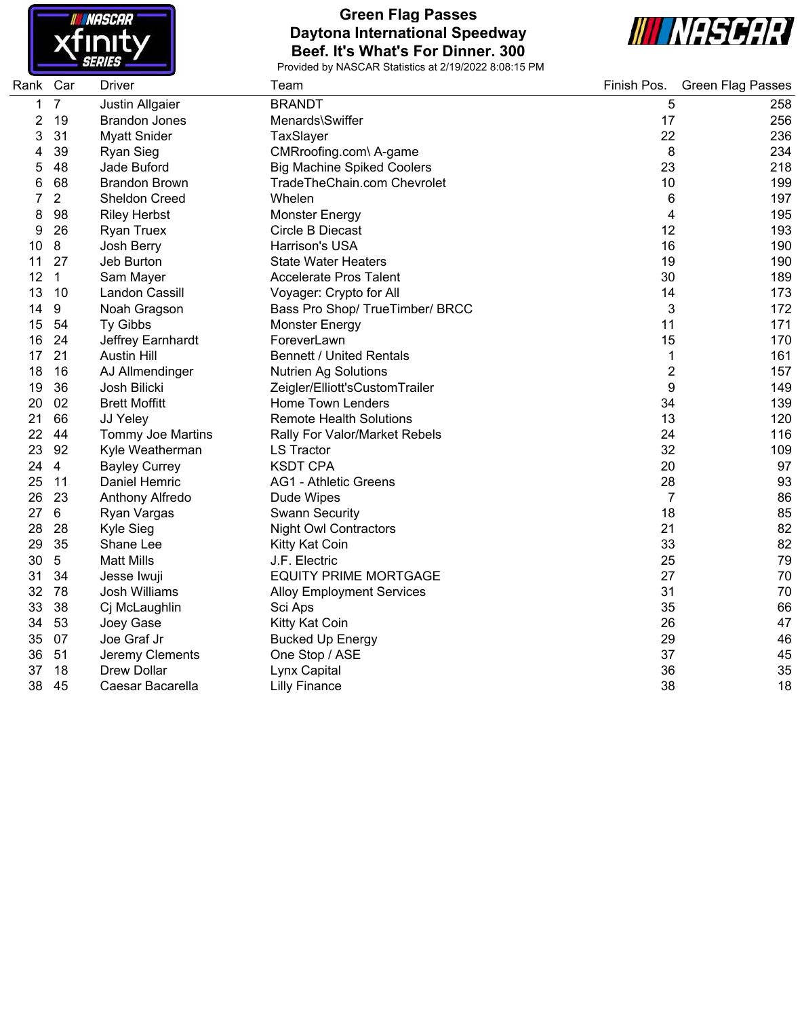

# **Green Flag Passes Daytona International Speedway Beef. It's What's For Dinner. 300**



| Rank | Car             | <b>Driver</b>        | Team                              | Finish Pos.    | <b>Green Flag Passes</b> |
|------|-----------------|----------------------|-----------------------------------|----------------|--------------------------|
| 1    | $\overline{7}$  | Justin Allgaier      | <b>BRANDT</b>                     | 5              | 258                      |
| 2    | 19              | <b>Brandon Jones</b> | Menards\Swiffer                   | 17             | 256                      |
| 3    | 31              | <b>Myatt Snider</b>  | TaxSlayer                         | 22             | 236                      |
| 4    | 39              | <b>Ryan Sieg</b>     | CMRroofing.com\ A-game            | 8              | 234                      |
| 5    | 48              | Jade Buford          | <b>Big Machine Spiked Coolers</b> | 23             | 218                      |
| 6    | 68              | <b>Brandon Brown</b> | TradeTheChain.com Chevrolet       | 10             | 199                      |
| 7    | $\overline{2}$  | Sheldon Creed        | Whelen                            | 6              | 197                      |
| 8    | 98              | <b>Riley Herbst</b>  | Monster Energy                    | 4              | 195                      |
| 9    | 26              | <b>Ryan Truex</b>    | Circle B Diecast                  | 12             | 193                      |
| 10   | $\bf 8$         | Josh Berry           | Harrison's USA                    | 16             | 190                      |
| 11   | 27              | Jeb Burton           | <b>State Water Heaters</b>        | 19             | 190                      |
| 12   | $\mathbf{1}$    | Sam Mayer            | <b>Accelerate Pros Talent</b>     | 30             | 189                      |
| 13   | 10              | Landon Cassill       | Voyager: Crypto for All           | 14             | 173                      |
| 14   | 9               | Noah Gragson         | Bass Pro Shop/ TrueTimber/ BRCC   | 3              | 172                      |
| 15   | 54              | Ty Gibbs             | <b>Monster Energy</b>             | 11             | 171                      |
| 16   | 24              | Jeffrey Earnhardt    | ForeverLawn                       | 15             | 170                      |
| 17   | 21              | <b>Austin Hill</b>   | <b>Bennett / United Rentals</b>   | 1              | 161                      |
| 18   | 16              | AJ Allmendinger      | <b>Nutrien Ag Solutions</b>       | 2              | 157                      |
| 19   | 36              | Josh Bilicki         | Zeigler/Elliott'sCustomTrailer    | 9              | 149                      |
| 20   | 02              | <b>Brett Moffitt</b> | <b>Home Town Lenders</b>          | 34             | 139                      |
| 21   | 66              | JJ Yeley             | <b>Remote Health Solutions</b>    | 13             | 120                      |
| 22   | 44              | Tommy Joe Martins    | Rally For Valor/Market Rebels     | 24             | 116                      |
| 23   | 92              | Kyle Weatherman      | <b>LS Tractor</b>                 | 32             | 109                      |
| 24   | $\overline{4}$  | <b>Bayley Currey</b> | <b>KSDT CPA</b>                   | 20             | 97                       |
| 25   | 11              | Daniel Hemric        | <b>AG1 - Athletic Greens</b>      | 28             | 93                       |
| 26   | 23              | Anthony Alfredo      | Dude Wipes                        | $\overline{7}$ | 86                       |
| 27   | $6\phantom{1}6$ | Ryan Vargas          | <b>Swann Security</b>             | 18             | 85                       |
| 28   | 28              | Kyle Sieg            | <b>Night Owl Contractors</b>      | 21             | 82                       |
| 29   | 35              | Shane Lee            | Kitty Kat Coin                    | 33             | 82                       |
| 30   | 5               | <b>Matt Mills</b>    | J.F. Electric                     | 25             | 79                       |
| 31   | 34              | Jesse Iwuji          | <b>EQUITY PRIME MORTGAGE</b>      | 27             | $70\,$                   |
| 32   | 78              | Josh Williams        | <b>Alloy Employment Services</b>  | 31             | 70                       |
| 33   | 38              | Cj McLaughlin        | Sci Aps                           | 35             | 66                       |
| 34   | 53              | Joey Gase            | Kitty Kat Coin                    | 26             | 47                       |
| 35   | 07              | Joe Graf Jr          | <b>Bucked Up Energy</b>           | 29             | 46                       |
| 36   | 51              | Jeremy Clements      | One Stop / ASE                    | 37             | 45                       |
| 37   | 18              | <b>Drew Dollar</b>   | Lynx Capital                      | 36             | 35                       |
| 38   | 45              | Caesar Bacarella     | <b>Lilly Finance</b>              | 38             | 18                       |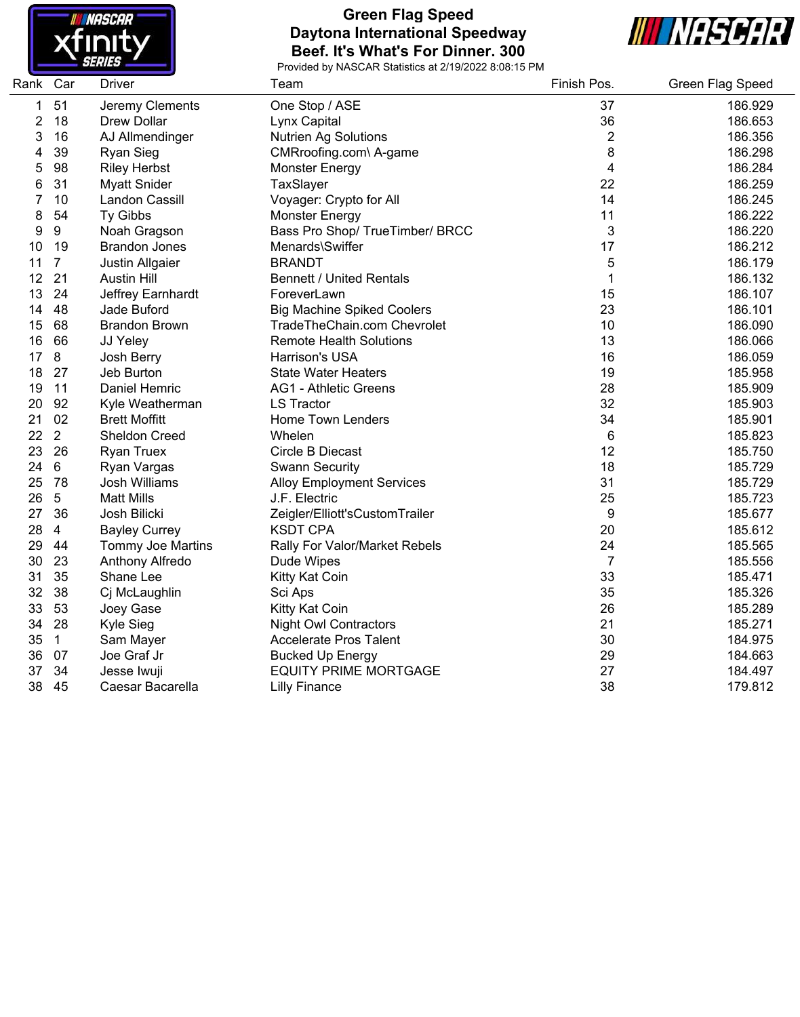

### **Green Flag Speed Daytona International Speedway Beef. It's What's For Dinner. 300**



| Rank | Car            | <b>Driver</b>        | Team                              | Finish Pos.    | <b>Green Flag Speed</b> |
|------|----------------|----------------------|-----------------------------------|----------------|-------------------------|
| 1    | 51             | Jeremy Clements      | One Stop / ASE                    | 37             | 186.929                 |
| 2    | 18             | Drew Dollar          | Lynx Capital                      | 36             | 186.653                 |
| 3    | 16             | AJ Allmendinger      | <b>Nutrien Ag Solutions</b>       | $\overline{2}$ | 186.356                 |
| 4    | 39             | <b>Ryan Sieg</b>     | CMRroofing.com\ A-game            | 8              | 186.298                 |
| 5    | 98             | <b>Riley Herbst</b>  | <b>Monster Energy</b>             | 4              | 186.284                 |
| 6    | 31             | <b>Myatt Snider</b>  | TaxSlayer                         | 22             | 186.259                 |
| 7    | 10             | Landon Cassill       | Voyager: Crypto for All           | 14             | 186.245                 |
| 8    | 54             | Ty Gibbs             | <b>Monster Energy</b>             | 11             | 186.222                 |
| 9    | 9              | Noah Gragson         | Bass Pro Shop/ TrueTimber/ BRCC   | 3              | 186.220                 |
| 10   | 19             | <b>Brandon Jones</b> | Menards\Swiffer                   | 17             | 186.212                 |
| 11   | 7              | Justin Allgaier      | <b>BRANDT</b>                     | 5              | 186.179                 |
| 12   | 21             | <b>Austin Hill</b>   | <b>Bennett / United Rentals</b>   | 1              | 186.132                 |
| 13   | 24             | Jeffrey Earnhardt    | ForeverLawn                       | 15             | 186.107                 |
| 14   | 48             | Jade Buford          | <b>Big Machine Spiked Coolers</b> | 23             | 186.101                 |
| 15   | 68             | <b>Brandon Brown</b> | TradeTheChain.com Chevrolet       | 10             | 186.090                 |
| 16   | 66             | JJ Yeley             | <b>Remote Health Solutions</b>    | 13             | 186.066                 |
| 17   | 8              | Josh Berry           | Harrison's USA                    | 16             | 186.059                 |
| 18   | 27             | Jeb Burton           | <b>State Water Heaters</b>        | 19             | 185.958                 |
| 19   | 11             | Daniel Hemric        | <b>AG1 - Athletic Greens</b>      | 28             | 185.909                 |
| 20   | 92             | Kyle Weatherman      | <b>LS Tractor</b>                 | 32             | 185.903                 |
| 21   | 02             | <b>Brett Moffitt</b> | Home Town Lenders                 | 34             | 185.901                 |
| 22   | $\overline{2}$ | <b>Sheldon Creed</b> | Whelen                            | 6              | 185.823                 |
| 23   | 26             | <b>Ryan Truex</b>    | Circle B Diecast                  | 12             | 185.750                 |
| 24   | 6              | Ryan Vargas          | <b>Swann Security</b>             | 18             | 185.729                 |
| 25   | 78             | <b>Josh Williams</b> | <b>Alloy Employment Services</b>  | 31             | 185.729                 |
| 26   | $\overline{5}$ | <b>Matt Mills</b>    | J.F. Electric                     | 25             | 185.723                 |
| 27   | 36             | Josh Bilicki         | Zeigler/Elliott'sCustomTrailer    | 9              | 185.677                 |
| 28   | 4              | <b>Bayley Currey</b> | <b>KSDT CPA</b>                   | 20             | 185.612                 |
| 29   | 44             | Tommy Joe Martins    | Rally For Valor/Market Rebels     | 24             | 185.565                 |
| 30   | 23             | Anthony Alfredo      | Dude Wipes                        | $\overline{7}$ | 185.556                 |
| 31   | 35             | Shane Lee            | Kitty Kat Coin                    | 33             | 185.471                 |
| 32   | 38             | Cj McLaughlin        | Sci Aps                           | 35             | 185.326                 |
| 33   | 53             | Joey Gase            | Kitty Kat Coin                    | 26             | 185.289                 |
| 34   | 28             | Kyle Sieg            | <b>Night Owl Contractors</b>      | 21             | 185.271                 |
| 35   | $\mathbf{1}$   | Sam Mayer            | <b>Accelerate Pros Talent</b>     | 30             | 184.975                 |
| 36   | 07             | Joe Graf Jr          | <b>Bucked Up Energy</b>           | 29             | 184.663                 |
| 37   | 34             | Jesse Iwuji          | <b>EQUITY PRIME MORTGAGE</b>      | 27             | 184.497                 |
| 38   | 45             | Caesar Bacarella     | <b>Lilly Finance</b>              | 38             | 179.812                 |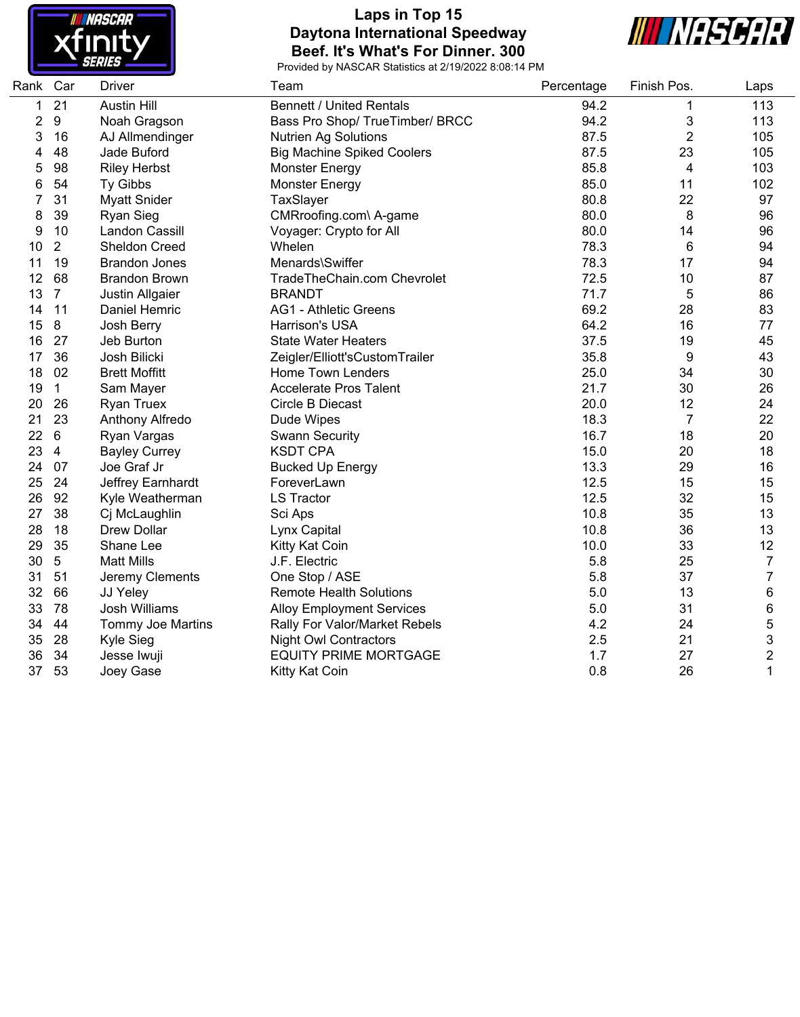

### **Laps in Top 15 Daytona International Speedway Beef. It's What's For Dinner. 300**



| Rank Car |                  | <b>Driver</b>            | Team                              | Percentage | Finish Pos.    | Laps |
|----------|------------------|--------------------------|-----------------------------------|------------|----------------|------|
| 1        | 21               | <b>Austin Hill</b>       | <b>Bennett / United Rentals</b>   | 94.2       | 1              | 113  |
| 2        | $\boldsymbol{9}$ | Noah Gragson             | Bass Pro Shop/ TrueTimber/ BRCC   | 94.2       | 3              | 113  |
| 3        | 16               | AJ Allmendinger          | <b>Nutrien Ag Solutions</b>       | 87.5       | $\overline{c}$ | 105  |
| 4        | 48               | Jade Buford              | <b>Big Machine Spiked Coolers</b> | 87.5       | 23             | 105  |
| 5        | 98               | <b>Riley Herbst</b>      | Monster Energy                    | 85.8       | 4              | 103  |
| 6        | 54               | Ty Gibbs                 | <b>Monster Energy</b>             | 85.0       | 11             | 102  |
| 7        | 31               | <b>Myatt Snider</b>      | TaxSlayer                         | 80.8       | 22             | 97   |
| 8        | 39               | <b>Ryan Sieg</b>         | CMRroofing.com\ A-game            | 80.0       | 8              | 96   |
| 9        | 10               | Landon Cassill           | Voyager: Crypto for All           | 80.0       | 14             | 96   |
| 10       | $\overline{2}$   | <b>Sheldon Creed</b>     | Whelen                            | 78.3       | 6              | 94   |
| 11       | 19               | <b>Brandon Jones</b>     | Menards\Swiffer                   | 78.3       | 17             | 94   |
| 12       | 68               | <b>Brandon Brown</b>     | TradeTheChain.com Chevrolet       | 72.5       | 10             | 87   |
| 13       | $\overline{7}$   | Justin Allgaier          | <b>BRANDT</b>                     | 71.7       | 5              | 86   |
| 14       | 11               | Daniel Hemric            | <b>AG1 - Athletic Greens</b>      | 69.2       | 28             | 83   |
| 15       | 8                | Josh Berry               | Harrison's USA                    | 64.2       | 16             | 77   |
| 16       | 27               | Jeb Burton               | <b>State Water Heaters</b>        | 37.5       | 19             | 45   |
| 17       | 36               | Josh Bilicki             | Zeigler/Elliott'sCustomTrailer    | 35.8       | 9              | 43   |
| 18       | 02               | <b>Brett Moffitt</b>     | <b>Home Town Lenders</b>          | 25.0       | 34             | 30   |
| 19       | $\mathbf 1$      | Sam Mayer                | <b>Accelerate Pros Talent</b>     | 21.7       | 30             | 26   |
| 20       | 26               | <b>Ryan Truex</b>        | Circle B Diecast                  | 20.0       | 12             | 24   |
| 21       | 23               | Anthony Alfredo          | Dude Wipes                        | 18.3       | $\overline{7}$ | 22   |
| 22       | 6                | Ryan Vargas              | <b>Swann Security</b>             | 16.7       | 18             | 20   |
| 23       | $\overline{4}$   | <b>Bayley Currey</b>     | <b>KSDT CPA</b>                   | 15.0       | 20             | 18   |
| 24       | 07               | Joe Graf Jr              | <b>Bucked Up Energy</b>           | 13.3       | 29             | 16   |
| 25       | 24               | Jeffrey Earnhardt        | ForeverLawn                       | 12.5       | 15             | 15   |
| 26       | 92               | Kyle Weatherman          | <b>LS Tractor</b>                 | 12.5       | 32             | 15   |
| 27       | 38               | Cj McLaughlin            | Sci Aps                           | 10.8       | 35             | 13   |
| 28       | 18               | Drew Dollar              | Lynx Capital                      | 10.8       | 36             | 13   |
| 29       | 35               | Shane Lee                | Kitty Kat Coin                    | 10.0       | 33             | 12   |
| 30       | $5\phantom{.0}$  | <b>Matt Mills</b>        | J.F. Electric                     | 5.8        | 25             | 7    |
| 31       | 51               | Jeremy Clements          | One Stop / ASE                    | 5.8        | 37             | 7    |
| 32       | 66               | JJ Yeley                 | <b>Remote Health Solutions</b>    | $5.0$      | 13             | 6    |
| 33       | 78               | Josh Williams            | <b>Alloy Employment Services</b>  | 5.0        | 31             | 6    |
| 34       | 44               | <b>Tommy Joe Martins</b> | Rally For Valor/Market Rebels     | 4.2        | 24             | 5    |
| 35       | 28               | Kyle Sieg                | <b>Night Owl Contractors</b>      | 2.5        | 21             | 3    |
| 36       | 34               | Jesse Iwuji              | <b>EQUITY PRIME MORTGAGE</b>      | 1.7        | 27             | 2    |
| 37       | 53               | Joey Gase                | Kitty Kat Coin                    | 0.8        | 26             | 1    |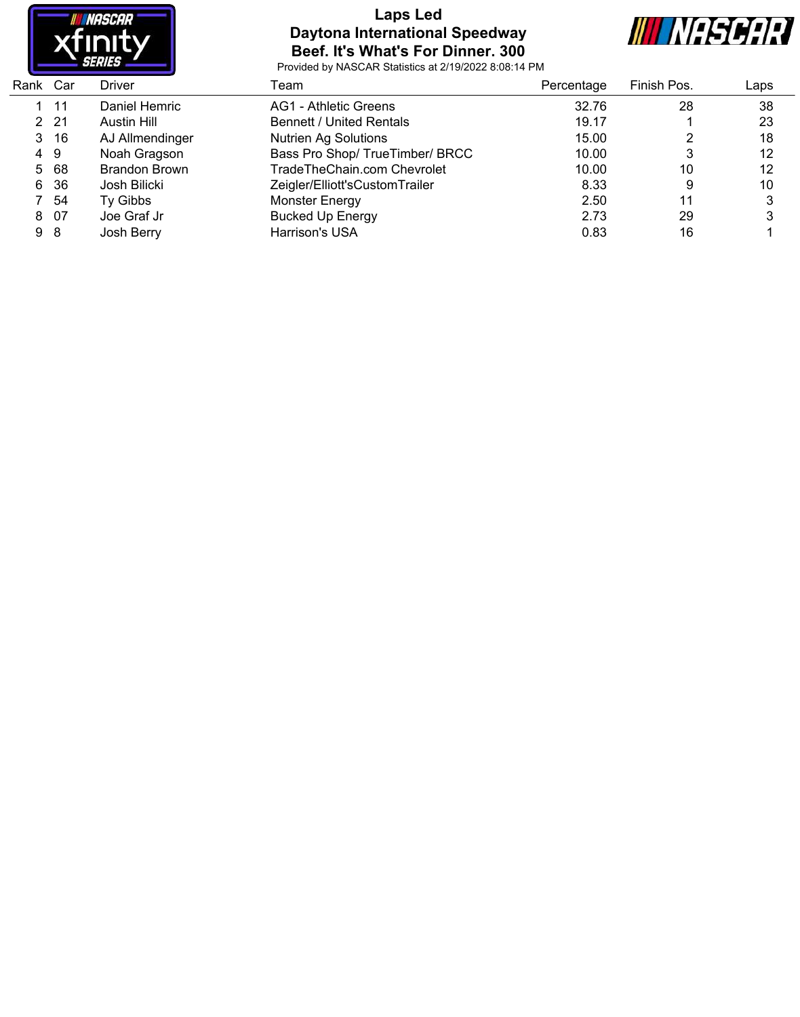

#### **Laps Led Daytona International Speedway Beef. It's What's For Dinner. 300**



| Rank Car |                 | Driver               | Team                            | Percentage | Finish Pos. | Laps |
|----------|-----------------|----------------------|---------------------------------|------------|-------------|------|
|          | -11             | Daniel Hemric        | AG1 - Athletic Greens           | 32.76      | 28          | 38   |
|          | 2 2 1           | Austin Hill          | <b>Bennett / United Rentals</b> | 19.17      |             | 23   |
|          | 3 <sub>16</sub> | AJ Allmendinger      | <b>Nutrien Ag Solutions</b>     | 15.00      |             | 18   |
|          | 49              | Noah Gragson         | Bass Pro Shop/ TrueTimber/ BRCC | 10.00      | 3           | 12   |
|          | 5 68            | <b>Brandon Brown</b> | TradeTheChain.com Chevrolet     | 10.00      | 10          | 12   |
| 6.       | 36              | Josh Bilicki         | Zeigler/Elliott'sCustomTrailer  | 8.33       | 9           | 10   |
|          | -54             | Ty Gibbs             | Monster Energy                  | 2.50       | 11          | 3    |
|          | 8 07            | Joe Graf Jr          | <b>Bucked Up Energy</b>         | 2.73       | 29          | 3    |
| 9 8      |                 | Josh Berry           | Harrison's USA                  | 0.83       | 16          |      |
|          |                 |                      |                                 |            |             |      |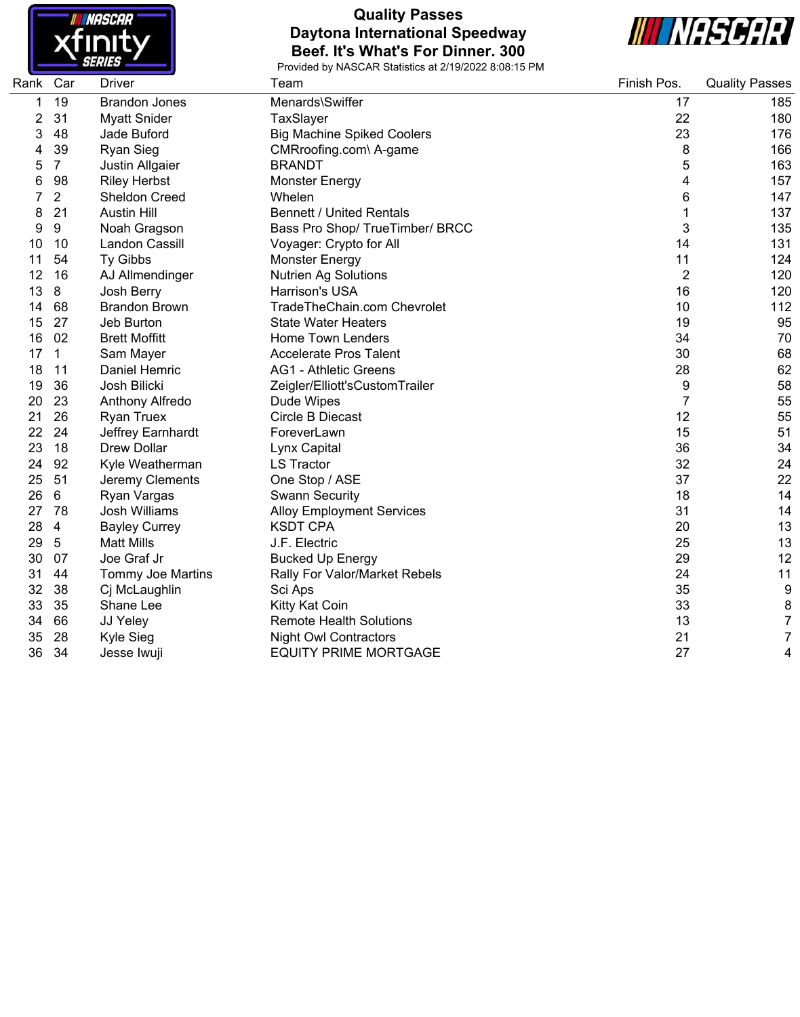

# **Quality Passes Daytona International Speedway Beef. It's What's For Dinner. 300**



| Rank | Car            | <b>Driver</b>        | Team                              | Finish Pos.    | <b>Quality Passes</b> |
|------|----------------|----------------------|-----------------------------------|----------------|-----------------------|
| 1    | 19             | <b>Brandon Jones</b> | Menards\Swiffer                   | 17             | 185                   |
| 2    | 31             | <b>Myatt Snider</b>  | TaxSlayer                         | 22             | 180                   |
| 3    | 48             | Jade Buford          | <b>Big Machine Spiked Coolers</b> | 23             | 176                   |
|      | 39             | <b>Ryan Sieg</b>     | CMRroofing.com\ A-game            | 8              | 166                   |
| 5    | $\overline{7}$ | Justin Allgaier      | <b>BRANDT</b>                     | 5              | 163                   |
| 6    | 98             | <b>Riley Herbst</b>  | <b>Monster Energy</b>             | 4              | 157                   |
|      | 2              | Sheldon Creed        | Whelen                            | 6              | 147                   |
| 8    | 21             | <b>Austin Hill</b>   | <b>Bennett / United Rentals</b>   | 1              | 137                   |
| 9    | 9              | Noah Gragson         | Bass Pro Shop/ TrueTimber/ BRCC   | 3              | 135                   |
| 10   | 10             | Landon Cassill       | Voyager: Crypto for All           | 14             | 131                   |
| 11   | 54             | Ty Gibbs             | Monster Energy                    | 11             | 124                   |
| 12   | 16             | AJ Allmendinger      | <b>Nutrien Ag Solutions</b>       | $\overline{2}$ | 120                   |
| 13   | 8              | Josh Berry           | Harrison's USA                    | 16             | 120                   |
| 14   | 68             | <b>Brandon Brown</b> | TradeTheChain.com Chevrolet       | 10             | 112                   |
| 15   | 27             | Jeb Burton           | <b>State Water Heaters</b>        | 19             | 95                    |
| 16   | 02             | <b>Brett Moffitt</b> | Home Town Lenders                 | 34             | 70                    |
| 17   | $\mathbf{1}$   | Sam Mayer            | <b>Accelerate Pros Talent</b>     | 30             | 68                    |
| 18   | 11             | Daniel Hemric        | <b>AG1 - Athletic Greens</b>      | 28             | 62                    |
| 19   | 36             | Josh Bilicki         | Zeigler/Elliott'sCustomTrailer    | 9              | 58                    |
| 20   | 23             | Anthony Alfredo      | Dude Wipes                        | 7              | 55                    |
| 21   | 26             | <b>Ryan Truex</b>    | Circle B Diecast                  | 12             | 55                    |
| 22   | 24             | Jeffrey Earnhardt    | ForeverLawn                       | 15             | 51                    |
| 23   | 18             | <b>Drew Dollar</b>   | Lynx Capital                      | 36             | 34                    |
| 24   | 92             | Kyle Weatherman      | <b>LS Tractor</b>                 | 32             | 24                    |
| 25   | 51             | Jeremy Clements      | One Stop / ASE                    | 37             | 22                    |
| 26   | 6              | Ryan Vargas          | <b>Swann Security</b>             | 18             | 14                    |
| 27   | 78             | Josh Williams        | <b>Alloy Employment Services</b>  | 31             | 14                    |
| 28   | $\overline{4}$ | <b>Bayley Currey</b> | <b>KSDT CPA</b>                   | 20             | 13                    |
| 29   | 5              | <b>Matt Mills</b>    | J.F. Electric                     | 25             | 13                    |
| 30   | 07             | Joe Graf Jr          | <b>Bucked Up Energy</b>           | 29             | 12                    |
| 31   | 44             | Tommy Joe Martins    | Rally For Valor/Market Rebels     | 24             | 11                    |
| 32   | 38             | Cj McLaughlin        | Sci Aps                           | 35             | 9                     |
| 33   | 35             | Shane Lee            | Kitty Kat Coin                    | 33             | 8                     |
| 34   | 66             | JJ Yeley             | <b>Remote Health Solutions</b>    | 13             | 7                     |
| 35   | 28             | Kyle Sieg            | <b>Night Owl Contractors</b>      | 21             | $\overline{7}$        |
| 36   | 34             | Jesse Iwuji          | <b>EQUITY PRIME MORTGAGE</b>      | 27             | 4                     |
|      |                |                      |                                   |                |                       |